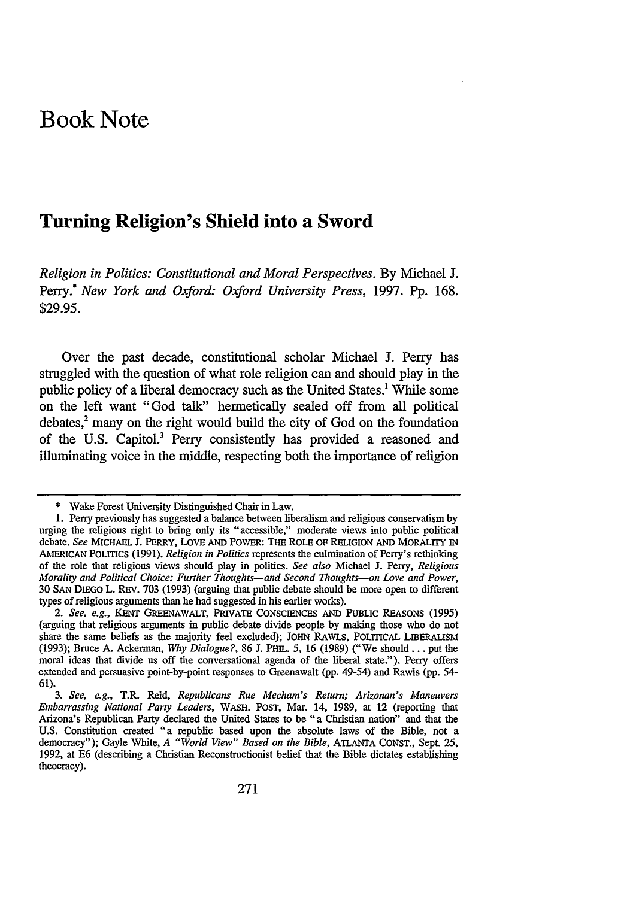# **Book Note**

# **Turning Religion's Shield into a Sword**

*Religion in Politics: Constitutional and Moral Perspectives.* By Michael J. Perry.! *New York and Oxford: Oxford University Press,* 1997. Pp. 168. \$29.95.

Over the past decade, constitutional scholar Michael **J.** Perry has struggled with the question of what role religion can and should play in the public policy of a liberal democracy such as the United States.' While some on the left want "God talk" hermetically sealed off from all political debates,' many on the right would build the city of God on the foundation of the U.S. Capitol.3 Perry consistently has provided a reasoned and illuminating voice in the middle, respecting both the importance of religion

<sup>\*</sup> Wake Forest University Distinguished Chair in Law.

<sup>1.</sup> Perry previously has suggested a balance between liberalism and religious conservatism by urging the religious right to bring only its "accessible," moderate views into public political debate. *See* MIcHAFL **J.** PERRY, LovE AND POWER: THE ROLE OF RELIGION **AND** MORALITY IN AMERICAN POLITICS (1991). *Religion in Politics* represents the culmination of Perry's rethinking of the role that religious views should play in politics. *See also* Michael J. Perry, *Religious Morality and Political Choice: Further Thoughts-and Second Thoughts-on Love and Power,* 30 SAN DIEGO L. REV. 703 (1993) (arguing that public debate should be more open to different types of religious arguments than he had suggested in his earlier works).

*<sup>2.</sup> See, e.g.,* KENT GREENAWALT, PRIVATE CONSCIENCES AND PUBLIC REASONS (1995) (arguing that religious arguments in public debate divide people by making those who do not share the same beliefs as the majority feel excluded); JOHN RAWLS, POLITICAL LIBERALISM (1993); Bruce A. Ackerman, *Why Dialogue?,* 86 J. PHIL. 5, 16 (1989) ("We should.., put the moral ideas that divide us off the conversational agenda of the liberal state."). Perry offers extended and persuasive point-by-point responses to Greenawalt (pp. 49-54) and Rawls (pp. 54- 61).

*<sup>3.</sup> See, e.g.,* T.R. Reid, *Republicans Rue Mecham's Return; Arizonan's Maneuvers Embarrassing National Party Leaders,* WASH. POST, Mar. 14, 1989, at 12 (reporting that Arizona's Republican Party declared the United States to be "a Christian nation" and that the U.S. Constitution created "a republic based upon the absolute laws of the Bible, not a democracy"); Gayle White, *A "World View" Based on the Bible,* ATLANTA CONST., Sept. 25, 1992, at E6 (describing a Christian Reconstructionist belief that the Bible dictates establishing theocracy).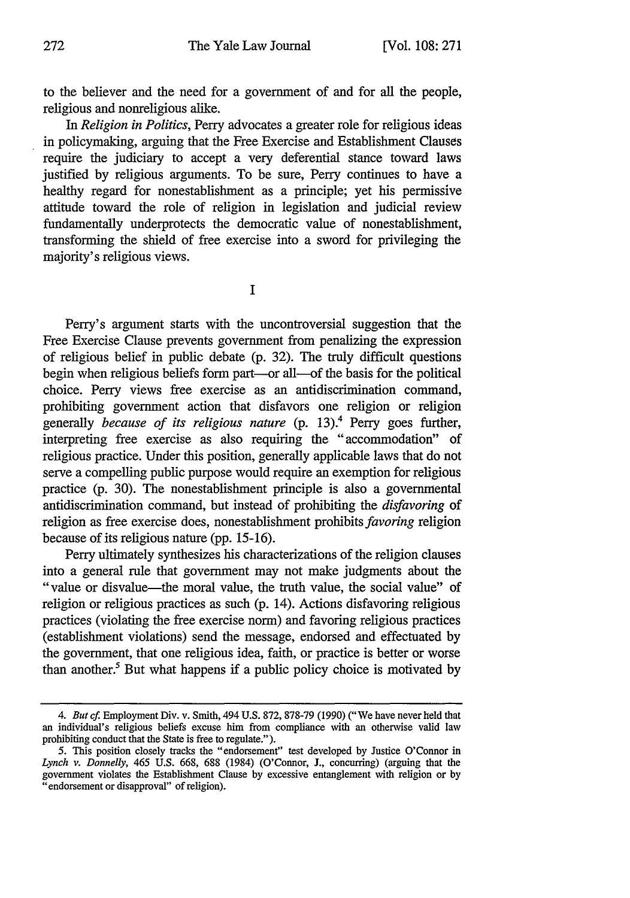to the believer and the need for a government of and for all the people, religious and nonreligious alike.

*In Religion in Politics,* Perry advocates a greater role for religious ideas in policymaking, arguing that the Free Exercise and Establishment Clauses require the judiciary to accept a very deferential stance toward laws justified by religious arguments. To be sure, Perry continues to have a healthy regard for nonestablishment as a principle; yet his permissive attitude toward the role of religion in legislation and judicial review fundamentally underprotects the democratic value of nonestablishment, transforming the shield of free exercise into a sword for privileging the majority's religious views.

**I**

Perry's argument starts with the uncontroversial suggestion that the Free Exercise Clause prevents government from penalizing the expression of religious belief in public debate (p. 32). The truly difficult questions begin when religious beliefs form part—or all—of the basis for the political choice. Perry views free exercise as an antidiscrimination command, prohibiting government action that disfavors one religion or religion generally *because of its religious nature* (p. 13).' Perry goes further, interpreting free exercise as also requiring the "accommodation" of religious practice. Under this position, generally applicable laws that do not serve a compelling public purpose would require an exemption for religious practice (p. 30). The nonestablishment principle is also a governmental antidiscrimination command, but instead of prohibiting the *disfavoring* of religion as free exercise does, nonestablishment prohibits *favoring* religion because of its religious nature (pp. 15-16).

Perry ultimately synthesizes his characterizations of the religion clauses into a general rule that government may not make judgments about the "value or disvalue-the moral value, the truth value, the social value" of religion or religious practices as such (p. 14). Actions disfavoring religious practices (violating the free exercise norm) and favoring religious practices (establishment violations) send the message, endorsed and effectuated by the government, that one religious idea, faith, or practice is better or worse than another.' But what happens if a public policy choice is motivated by

*<sup>4.</sup> But cf.* Employment Div. v. Smith, 494 U.S. 872, 878-79 (1990) ("We have never held that an individual's religious beliefs excuse him from compliance with an otherwise valid law prohibiting conduct that the State is free to regulate.").

<sup>5.</sup> This position closely tracks the "endorsement" test developed by Justice O'Connor in *Lynch v. Donnelly,* 465 U.S. 668, 688 (1984) (O'Connor, **J.,** concurring) (arguing that the government violates the Establishment Clause by excessive entanglement with religion or by "endorsement or disapproval" of religion).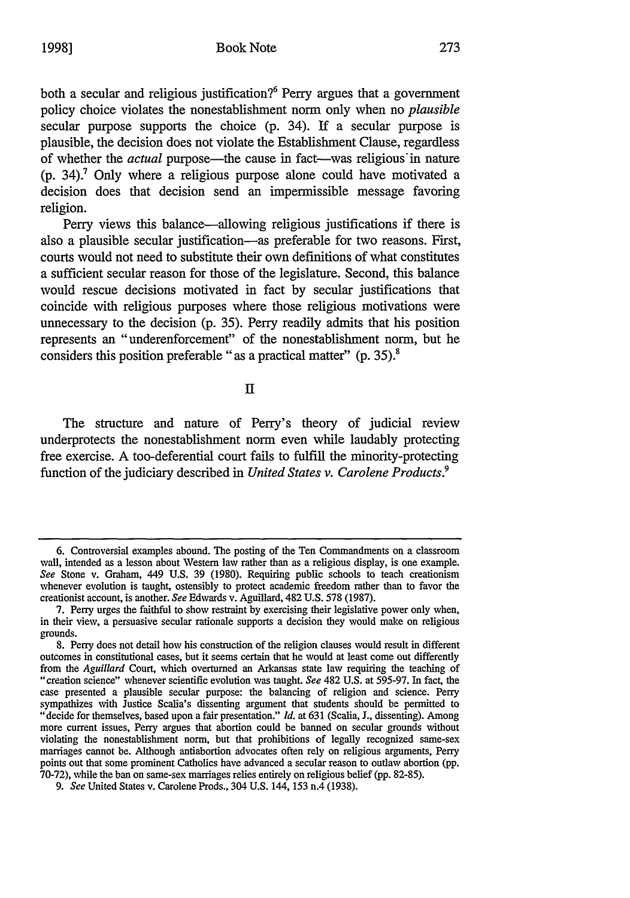both a secular and religious justification?<sup>6</sup> Perry argues that a government policy choice violates the nonestablishment norm only when no *plausible* secular purpose supports the choice **(p.** 34). **If** a secular purpose is plausible, the decision does not violate the Establishment Clause, regardless of whether the *actual* purpose—the cause in fact—was religious in nature **(p.** 34).' Only where a religious purpose alone could have motivated a decision does that decision send an impermissible message favoring religion.

Perry views this balance-allowing religious justifications if there is also a plausible secular justification-as preferable for two reasons. First, courts would not need to substitute their own definitions of what constitutes a sufficient secular reason for those of the legislature. Second, this balance would rescue decisions motivated in fact **by** secular justifications that coincide with religious purposes where those religious motivations were unnecessary to the decision **(p. 35).** Perry readily admits that his position represents an "underenforcement" of the nonestablishment norm, but he considers this position preferable **"as** a practical matter" **(p. 35).8**

**II**

The structure and nature of Perry's theory of judicial review underprotects the nonestablishment norm even while laudably protecting free exercise. **A** too-deferential court fails to fulfill the minority-protecting function of the judiciary described in *United States v. Carolene Products.9*

**<sup>6.</sup>** Controversial examples abound. The posting of the Ten Commandments on a classroom wall, intended as a lesson about Western law rather than as a religious display, is one example. *See* Stone v. Graham, 449 **U.S. 39 (1980).** Requiring public schools to teach creationism whenever evolution is taught, ostensibly to protect academic freedom rather than to favor the creationist account, is another. *See* Edwards v. Aguillard, 482 **U.S. 578 (1987).**

**<sup>7.</sup> Perry** urges the faithful to show restraint **by** exercising their legislative power only when, in their view, a persuasive secular rationale supports a decision they would make on religious grounds.

**<sup>8.</sup>** Perry does not detail how his construction of the religion clauses would result in different outcomes in constitutional cases, but it seems certain that he would at least come out differently from the *Aguillard* Court, which overturned an Arkansas state **law** requiring the teaching of "creation science" whenever scientific evolution was taught. *See* 482 **U.S.** at **595-97.** In fact, the case presented a plausible secular purpose: the balancing of religion and science. Perry sympathizes with Justice Scalia's dissenting argument that students should be permitted to "decide for themselves, based upon a fair presentation." *Id.* at **631** (Scalia, **J.,** dissenting). Among more current issues, Perry argues that abortion could be banned on secular grounds without violating the nonestablishment norm, but that prohibitions of legally recognized same-sex marriages cannot be. Although antiabortion advocates often rely on religious arguments, Perry points out that some prominent Catholics have advanced a secular reason to outlaw abortion **(pp. 70-72),** while the ban on same-sex marriages relies entirely on religious belief **(pp. 82-85).**

*<sup>9.</sup> See* United States v. Carolene Prods., 304 **U.S.** 144, **153** n.4 **(1938).**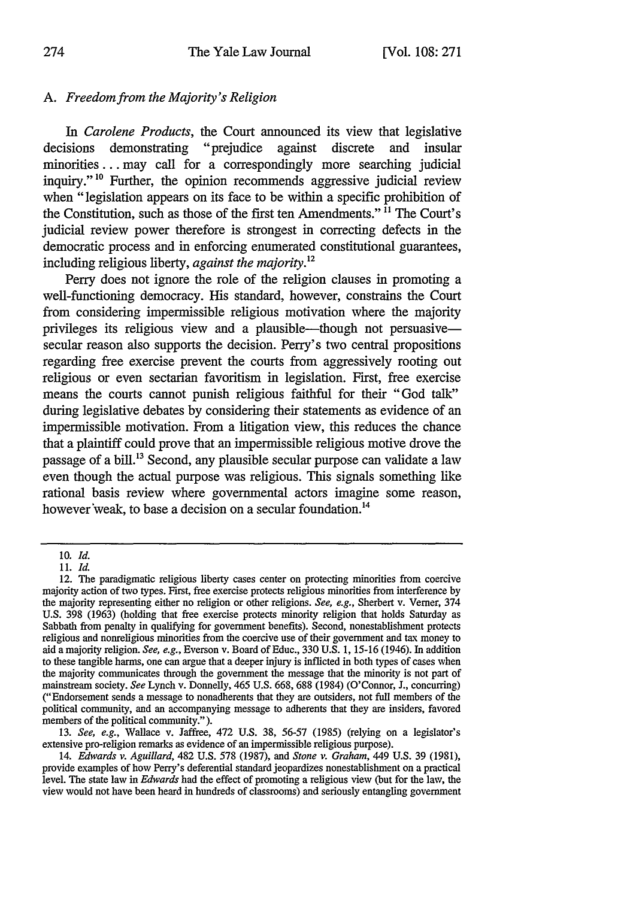## *A. Freedom from the Majority's Religion*

In *Carolene Products*, the Court announced its view that legislative is demonstrating "prejudice against discrete and insular decisions demonstrating "prejudice against discrete and insular minorities **...** may call for a correspondingly more searching judicial inquiry."<sup>10</sup> Further, the opinion recommends aggressive judicial review when "legislation appears on its face to be within a specific prohibition of the Constitution, such as those of the first ten Amendments." **"** The Court's judicial review power therefore is strongest in correcting defects in the democratic process and in enforcing enumerated constitutional guarantees, including religious liberty, *against the majority.12*

Perry does not ignore the role of the religion clauses in promoting a well-functioning democracy. His standard, however, constrains the Court from considering impermissible religious motivation where the majority privileges its religious view and a plausible-though not persuasivesecular reason also supports the decision. Perry's two central propositions regarding free exercise prevent the courts from aggressively rooting out religious or even sectarian favoritism in legislation. First, free exercise means the courts cannot punish religious faithful for their "God talk" during legislative debates by considering their statements as evidence of an impermissible motivation. From a litigation view, this reduces the chance that a plaintiff could prove that an impermissible religious motive drove the passage of a bill.<sup>13</sup> Second, any plausible secular purpose can validate a law even though the actual purpose was religious. This signals something like rational basis review where governmental actors imagine some reason, however'weak, to base a decision on a secular foundation.<sup>14</sup>

13. *See, e.g.,* Wallace v. Jaffree, 472 U.S. 38, 56-57 (1985) (relying on a legislator's extensive pro-religion remarks as evidence of an impermissible religious purpose).

<sup>10.</sup> *Id.*

<sup>11.</sup> *Id.*

<sup>12.</sup> The paradigmatic religious liberty cases center on protecting minorities from coercive majority action of two types. First, free exercise protects religious minorities from interference by the majority representing either no religion or other religions. *See, e.g.,* Sherbert v. Verner, 374 U.S. 398 (1963) (holding that free exercise protects minority religion that holds Saturday as Sabbath from penalty in qualifying for government benefits). Second, nonestablishment protects religious and nonreligious minorities from the coercive use of their government and tax money to aid a majority religion. *See, e.g.,* Everson v. Board of Educ., 330 U.S. 1, 15-16 (1946). In addition to these tangible harms, one can argue that a deeper injury is inflicted in both types of cases when the majority communicates through the government the message that the minority is not part of mainstream society. *See* Lynch v. Donnelly, 465 U.S. 668, 688 (1984) (O'Connor, **J.,** concurring) ("Endorsement sends a message to nonadherents that they are outsiders, not full members of the political community, and an accompanying message to adherents that they are insiders, favored members of the political community.").

<sup>14.</sup> *Edwards v. Aguillard,* 482 U.S. 578 (1987), and *Stone v. Graham,* 449 U.S. 39 (1981), provide examples of how Perry's deferential standard jeopardizes nonestablishment on a practical level. The state law in *Edwards* had the effect of promoting a religious view (hut for the law, the view would not have been heard in hundreds of classrooms) and seriously entangling government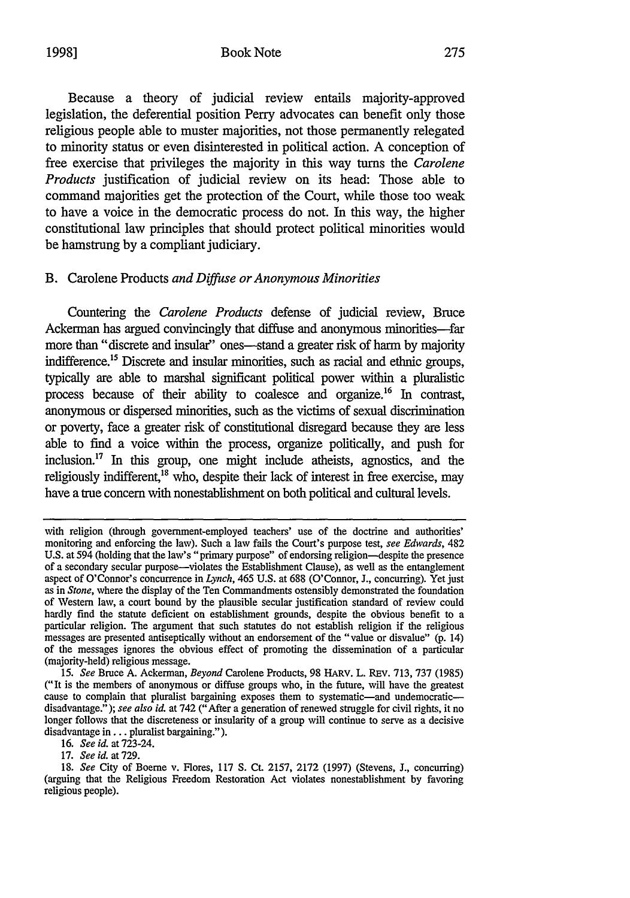#### 1998] Book Note

Because a theory of judicial review entails majority-approved legislation, the deferential position Perry advocates can benefit only those religious people able to muster majorities, not those permanently relegated to minority status or even disinterested in political action. A conception of free exercise that privileges the majority in this way turns the *Carolene Products* justification of judicial review on its head: Those able to command majorities get the protection of the Court, while those too weak to have a voice in the democratic process do not. In this way, the higher constitutional law principles that should protect political minorities would be hamstrung by a compliant judiciary.

### B. Carolene Products *and Diffuse or Anonymous Minorities*

Countering the *Carolene Products* defense of judicial review, Bruce Ackerman has argued convincingly that diffuse and anonymous minorities-far more than "discrete and insular" ones--stand a greater risk of harm by majority indifference.<sup>15</sup> Discrete and insular minorities, such as racial and ethnic groups, typically are able to marshal significant political power within a pluralistic process because of their ability to coalesce and organize.16 In contrast, anonymous or dispersed minorities, such as the victims of sexual discrimination or poverty, face a greater risk of constitutional disregard because they are less able to find a voice within the process, organize politically, and push for inclusion.'" In this group, one might include atheists, agnostics, and the religiously indifferent.<sup>18</sup> who, despite their lack of interest in free exercise, may have a true concern with nonestablishment on both political and cultural levels.

16. *See id.* at 723-24.

17. *See id.* at 729.

18. *See* City of Boerne v. Flores, 117 S. Ct. 2157, 2172 (1997) (Stevens, J., concurring) (arguing that the Religious Freedom Restoration Act violates nonestablishment by favoring religious people).

with religion (through government-employed teachers' use of the doctrine and authorities' monitoring and enforcing the law). Such a law fails the Court's purpose test, *see Edwards,* 482 **U.S.** at 594 (holding that the law's "primary purpose" of endorsing religion-despite the presence of a secondary secular purpose-violates the Establishment Clause), as well as the entanglement aspect of O'Connor's concurrence in *Lynch,* 465 U.S. at 688 (O'Connor, J., concurring). Yet just as in *Stone,* where the display of the Ten Commandments ostensibly demonstrated the foundation of Western law, a court bound by the plausible secular justification standard of review could hardly find the statute deficient on establishment grounds, despite the obvious benefit to a particular religion. The argument that such statutes do not establish religion if the religious messages are presented antiseptically without an endorsement of the "value or disvalue" (p. 14) of the messages ignores the obvious effect of promoting the dissemination of a particular (majority-held) religious message.

<sup>15.</sup> *See* Bruce A. Ackerman, *Beyond* Carolene Products, 98 HARv. L. **REV.** 713, 737 (1985) ("It is the members of anonymous or diffuse groups who, in the future, will have the greatest cause to complain that pluralist bargaining exposes them to systematic-and undemocraticdisadvantage."); *see also id.* at 742 ("After a generation of renewed struggle for civil rights, it no longer follows that the discreteness or insularity of a group will continue to serve as a decisive disadvantage in... pluralist bargaining.").